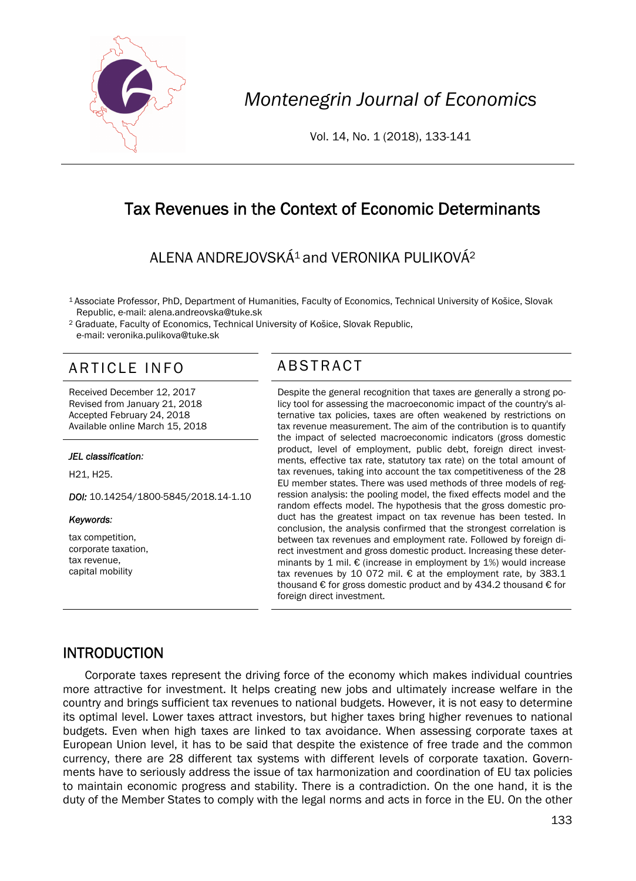

*Montenegrin Journal of Economics* 

Vol. 14, No. 1 (2018), 133-141

# Tax Revenues in the Context of Economic Determinants

# ALENA ANDREJOVSKÁ<sup>1</sup> and VERONIKA PULIKOVÁ<sup>2</sup>

1 Associate Professor, PhD, Department of Humanities, Faculty of Economics, Technical University of Košice, Slovak Republic, e-mail: alena.andreovska@tuke.sk

2 Graduate, Faculty of Economics, Technical University of Košice, Slovak Republic, e-mail: veronika.pulikova@tuke.sk

# ARTICLE INFO ABSTRACT

Received December 12, 2017 Revised from January 21, 2018 Accepted February 24, 2018 Available online March 15, 2018

#### *JEL classification:*

H21, H25.

*DOI:* 10.14254/1800-5845/2018.14-1.10

#### *Keywords:*

tax competition, corporate taxation, tax revenue, capital mobility

 Despite the general recognition that taxes are generally a strong policy tool for assessing the macroeconomic impact of the country's alternative tax policies, taxes are often weakened by restrictions on tax revenue measurement. The aim of the contribution is to quantify the impact of selected macroeconomic indicators (gross domestic product, level of employment, public debt, foreign direct investments, effective tax rate, statutory tax rate) on the total amount of tax revenues, taking into account the tax competitiveness of the 28 EU member states. There was used methods of three models of regression analysis: the pooling model, the fixed effects model and the random effects model. The hypothesis that the gross domestic product has the greatest impact on tax revenue has been tested. In conclusion, the analysis confirmed that the strongest correlation is between tax revenues and employment rate. Followed by foreign direct investment and gross domestic product. Increasing these determinants by 1 mil.  $\epsilon$  (increase in employment by 1%) would increase tax revenues by 10 072 mil. € at the employment rate, by 383.1 thousand  $\epsilon$  for gross domestic product and by 434.2 thousand  $\epsilon$  for foreign direct investment.

## INTRODUCTION

Corporate taxes represent the driving force of the economy which makes individual countries more attractive for investment. It helps creating new jobs and ultimately increase welfare in the country and brings sufficient tax revenues to national budgets. However, it is not easy to determine its optimal level. Lower taxes attract investors, but higher taxes bring higher revenues to national budgets. Even when high taxes are linked to tax avoidance. When assessing corporate taxes at European Union level, it has to be said that despite the existence of free trade and the common currency, there are 28 different tax systems with different levels of corporate taxation. Governments have to seriously address the issue of tax harmonization and coordination of EU tax policies to maintain economic progress and stability. There is a contradiction. On the one hand, it is the duty of the Member States to comply with the legal norms and acts in force in the EU. On the other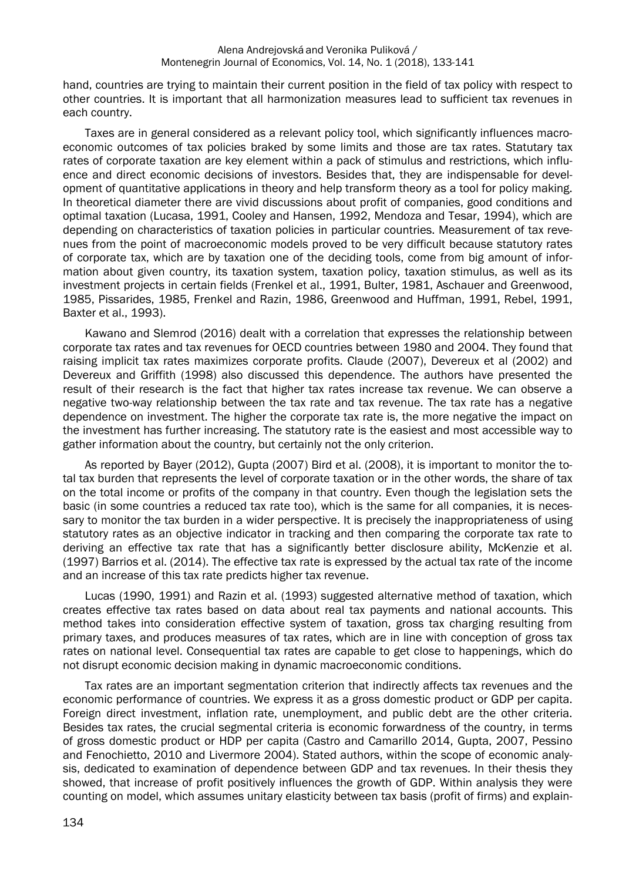hand, countries are trying to maintain their current position in the field of tax policy with respect to other countries. It is important that all harmonization measures lead to sufficient tax revenues in each country.

Taxes are in general considered as a relevant policy tool, which significantly influences macroeconomic outcomes of tax policies braked by some limits and those are tax rates. Statutary tax rates of corporate taxation are key element within a pack of stimulus and restrictions, which influence and direct economic decisions of investors. Besides that, they are indispensable for development of quantitative applications in theory and help transform theory as a tool for policy making. In theoretical diameter there are vivid discussions about profit of companies, good conditions and optimal taxation (Lucasa, 1991, Cooley and Hansen, 1992, Mendoza and Tesar, 1994), which are depending on characteristics of taxation policies in particular countries. Measurement of tax revenues from the point of macroeconomic models proved to be very difficult because statutory rates of corporate tax, which are by taxation one of the deciding tools, come from big amount of information about given country, its taxation system, taxation policy, taxation stimulus, as well as its investment projects in certain fields (Frenkel et al., 1991, Bulter, 1981, Aschauer and Greenwood, 1985, Pissarides, 1985, Frenkel and Razin, 1986, Greenwood and Huffman, 1991, Rebel, 1991, Baxter et al., 1993).

Kawano and Slemrod (2016) dealt with a correlation that expresses the relationship between corporate tax rates and tax revenues for OECD countries between 1980 and 2004. They found that raising implicit tax rates maximizes corporate profits. Claude (2007), Devereux et al (2002) and Devereux and Griffith (1998) also discussed this dependence. The authors have presented the result of their research is the fact that higher tax rates increase tax revenue. We can observe a negative two-way relationship between the tax rate and tax revenue. The tax rate has a negative dependence on investment. The higher the corporate tax rate is, the more negative the impact on the investment has further increasing. The statutory rate is the easiest and most accessible way to gather information about the country, but certainly not the only criterion.

As reported by Bayer (2012), Gupta (2007) Bird et al. (2008), it is important to monitor the total tax burden that represents the level of corporate taxation or in the other words, the share of tax on the total income or profits of the company in that country. Even though the legislation sets the basic (in some countries a reduced tax rate too), which is the same for all companies, it is necessary to monitor the tax burden in a wider perspective. It is precisely the inappropriateness of using statutory rates as an objective indicator in tracking and then comparing the corporate tax rate to deriving an effective tax rate that has a significantly better disclosure ability, McKenzie et al. (1997) Barrios et al. (2014). The effective tax rate is expressed by the actual tax rate of the income and an increase of this tax rate predicts higher tax revenue.

Lucas (1990, 1991) and Razin et al. (1993) suggested alternative method of taxation, which creates effective tax rates based on data about real tax payments and national accounts. This method takes into consideration effective system of taxation, gross tax charging resulting from primary taxes, and produces measures of tax rates, which are in line with conception of gross tax rates on national level. Consequential tax rates are capable to get close to happenings, which do not disrupt economic decision making in dynamic macroeconomic conditions.

Tax rates are an important segmentation criterion that indirectly affects tax revenues and the economic performance of countries. We express it as a gross domestic product or GDP per capita. Foreign direct investment, inflation rate, unemployment, and public debt are the other criteria. Besides tax rates, the crucial segmental criteria is economic forwardness of the country, in terms of gross domestic product or HDP per capita (Castro and Camarillo 2014, Gupta, 2007, Pessino and Fenochietto, 2010 and Livermore 2004). Stated authors, within the scope of economic analysis, dedicated to examination of dependence between GDP and tax revenues. In their thesis they showed, that increase of profit positively influences the growth of GDP. Within analysis they were counting on model, which assumes unitary elasticity between tax basis (profit of firms) and explain-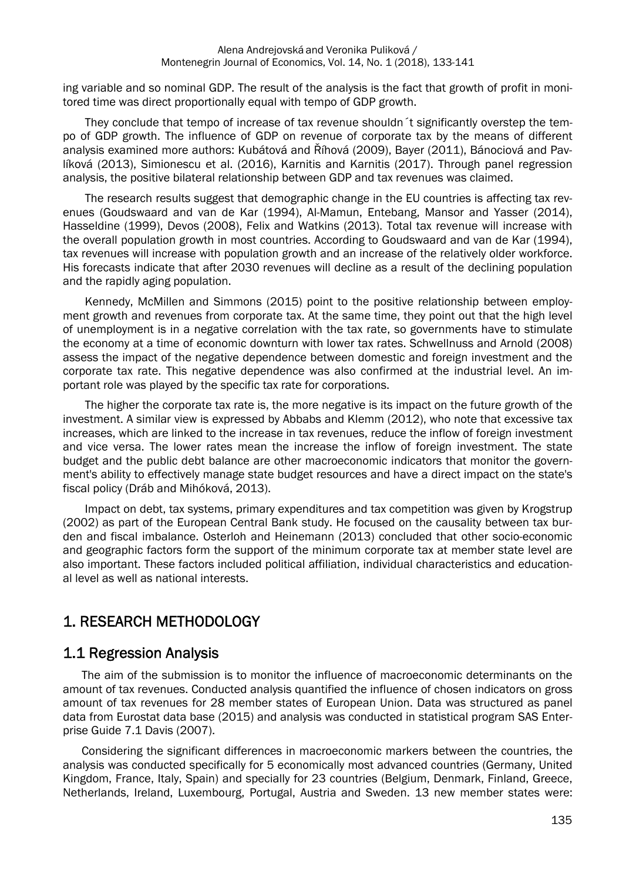ing variable and so nominal GDP. The result of the analysis is the fact that growth of profit in monitored time was direct proportionally equal with tempo of GDP growth.

They conclude that tempo of increase of tax revenue shouldn´t significantly overstep the tempo of GDP growth. The influence of GDP on revenue of corporate tax by the means of different analysis examined more authors: Kubátová and Říhová (2009), Bayer (2011), Bánociová and Pavlíková (2013), Simionescu et al. (2016), Karnitis and Karnitis (2017). Through panel regression analysis, the positive bilateral relationship between GDP and tax revenues was claimed.

The research results suggest that demographic change in the EU countries is affecting tax revenues (Goudswaard and van de Kar (1994), Al-Mamun, Entebang, Mansor and Yasser (2014), Hasseldine (1999), Devos (2008), Felix and Watkins (2013). Total tax revenue will increase with the overall population growth in most countries. According to Goudswaard and van de Kar (1994), tax revenues will increase with population growth and an increase of the relatively older workforce. His forecasts indicate that after 2030 revenues will decline as a result of the declining population and the rapidly aging population.

Kennedy, McMillen and Simmons (2015) point to the positive relationship between employment growth and revenues from corporate tax. At the same time, they point out that the high level of unemployment is in a negative correlation with the tax rate, so governments have to stimulate the economy at a time of economic downturn with lower tax rates. Schwellnuss and Arnold (2008) assess the impact of the negative dependence between domestic and foreign investment and the corporate tax rate. This negative dependence was also confirmed at the industrial level. An important role was played by the specific tax rate for corporations.

The higher the corporate tax rate is, the more negative is its impact on the future growth of the investment. A similar view is expressed by Abbabs and Klemm (2012), who note that excessive tax increases, which are linked to the increase in tax revenues, reduce the inflow of foreign investment and vice versa. The lower rates mean the increase the inflow of foreign investment. The state budget and the public debt balance are other macroeconomic indicators that monitor the government's ability to effectively manage state budget resources and have a direct impact on the state's fiscal policy (Dráb and Mihóková, 2013).

Impact on debt, tax systems, primary expenditures and tax competition was given by Krogstrup (2002) as part of the European Central Bank study. He focused on the causality between tax burden and fiscal imbalance. Osterloh and Heinemann (2013) concluded that other socio-economic and geographic factors form the support of the minimum corporate tax at member state level are also important. These factors included political affiliation, individual characteristics and educational level as well as national interests.

# 1. RESEARCH METHODOLOGY

## 1.1 Regression Analysis

The aim of the submission is to monitor the influence of macroeconomic determinants on the amount of tax revenues. Conducted analysis quantified the influence of chosen indicators on gross amount of tax revenues for 28 member states of European Union. Data was structured as panel data from Eurostat data base (2015) and analysis was conducted in statistical program SAS Enterprise Guide 7.1 Davis (2007).

Considering the significant differences in macroeconomic markers between the countries, the analysis was conducted specifically for 5 economically most advanced countries (Germany, United Kingdom, France, Italy, Spain) and specially for 23 countries (Belgium, Denmark, Finland, Greece, Netherlands, Ireland, Luxembourg, Portugal, Austria and Sweden. 13 new member states were: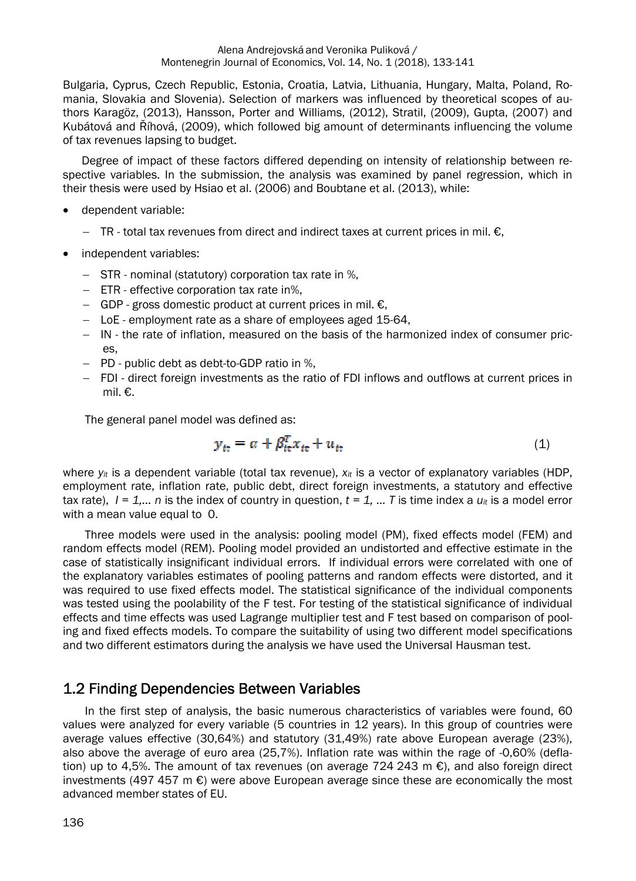Bulgaria, Cyprus, Czech Republic, Estonia, Croatia, Latvia, Lithuania, Hungary, Malta, Poland, Romania, Slovakia and Slovenia). Selection of markers was influenced by theoretical scopes of authors Karagöz, (2013), Hansson, Porter and Williams, (2012), Stratil, (2009), Gupta, (2007) and Kubátová and Říhová, (2009), which followed big amount of determinants influencing the volume of tax revenues lapsing to budget.

Degree of impact of these factors differed depending on intensity of relationship between respective variables. In the submission, the analysis was examined by panel regression, which in their thesis were used by Hsiao et al. (2006) and Boubtane et al. (2013), while:

- dependent variable:
	- $-$  TR total tax revenues from direct and indirect taxes at current prices in mil.  $\epsilon$ .
- independent variables:
	- STRnominal (statutory) corporation tax rate in %,
	- ETReffective corporation tax rate in%,
	- $\overline{ }$  GDP gross domestic product at current prices in mil. €,
	- LoEemployment rate as a share of employees aged 15-64,
	- INthe rate of inflation, measured on the basis of the harmonized index of consumer prices,
	- PDpublic debt as debt-to-GDP ratio in %,
	- FDI direct foreign investments as the ratio of FDI inflows and outflows at current prices in mil. €.

The general panel model was defined as:

$$
y_{it} = \alpha + \beta_{it}^T x_{it} + u_{it}
$$
 (1)

where  $y_{it}$  is a dependent variable (total tax revenue),  $x_{it}$  is a vector of explanatory variables (HDP, employment rate, inflation rate, public debt, direct foreign investments, a statutory and effective tax rate),  $I = 1,..., n$  is the index of country in question,  $t = 1,..., T$  is time index a  $u_{it}$  is a model error with a mean value equal to 0.

Three models were used in the analysis: pooling model (PM), fixed effects model (FEM) and random effects model (REM). Pooling model provided an undistorted and effective estimate in the case of statistically insignificant individual errors. If individual errors were correlated with one of the explanatory variables estimates of pooling patterns and random effects were distorted, and it was required to use fixed effects model. The statistical significance of the individual components was tested using the poolability of the F test. For testing of the statistical significance of individual effects and time effects was used Lagrange multiplier test and F test based on comparison of pooling and fixed effects models. To compare the suitability of using two different model specifications and two different estimators during the analysis we have used the Universal Hausman test.

## 1.2 Finding Dependencies Between Variables

In the first step of analysis, the basic numerous characteristics of variables were found, 60 values were analyzed for every variable (5 countries in 12 years). In this group of countries were average values effective (30,64%) and statutory (31,49%) rate above European average (23%), also above the average of euro area (25,7%). Inflation rate was within the rage of -0,60% (deflation) up to 4,5%. The amount of tax revenues (on average 724 243 m  $\epsilon$ ), and also foreign direct investments (497 457 m  $\epsilon$ ) were above European average since these are economically the most advanced member states of EU.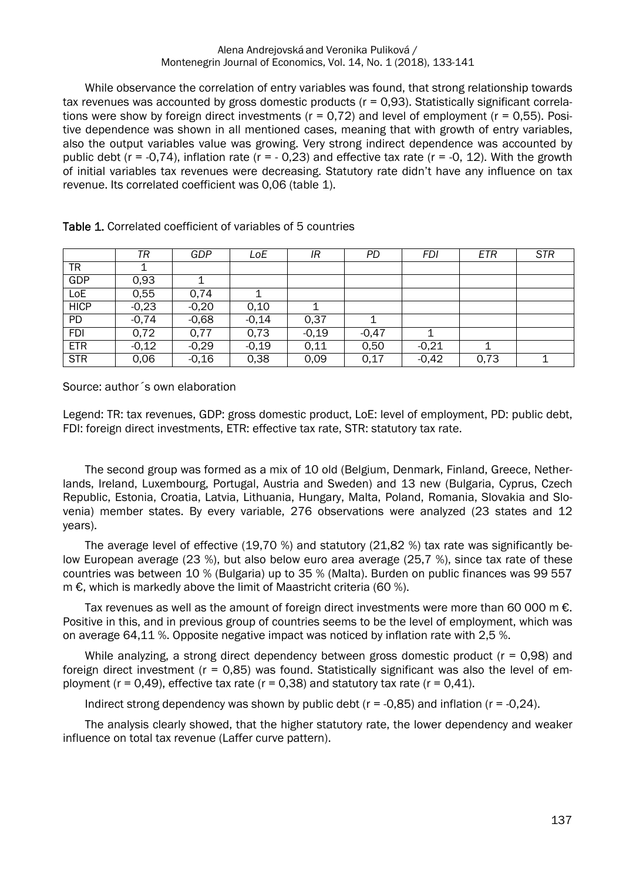#### Alena Andrejovská and Veronika Puliková / Montenegrin Journal of Economics, Vol. 14, No. 1 (2018), 133-141

While observance the correlation of entry variables was found, that strong relationship towards tax revenues was accounted by gross domestic products (r = 0,93). Statistically significant correlations were show by foreign direct investments ( $r = 0.72$ ) and level of employment ( $r = 0.55$ ). Positive dependence was shown in all mentioned cases, meaning that with growth of entry variables, also the output variables value was growing. Very strong indirect dependence was accounted by public debt ( $r = -0.74$ ), inflation rate ( $r = -0.23$ ) and effective tax rate ( $r = -0$ , 12). With the growth of initial variables tax revenues were decreasing. Statutory rate didn't have any influence on tax revenue. Its correlated coefficient was 0,06 (table 1).

|             | TR      | GDP     | LoE               | IR      | PD      | FDI     | <b>ETR</b> | <b>STR</b> |
|-------------|---------|---------|-------------------|---------|---------|---------|------------|------------|
| TR          |         |         |                   |         |         |         |            |            |
| GDP         | 0,93    |         |                   |         |         |         |            |            |
| LoE         | 0,55    | 0,74    |                   |         |         |         |            |            |
| <b>HICP</b> | $-0,23$ | $-0,20$ | 0,10              |         |         |         |            |            |
| <b>PD</b>   | $-0,74$ | $-0,68$ | $-0,14$           | 0,37    |         |         |            |            |
| <b>FDI</b>  | 0,72    | 0,77    | $0,\overline{73}$ | $-0,19$ | $-0,47$ |         |            |            |
| <b>ETR</b>  | $-0,12$ | $-0,29$ | $-0,19$           | 0.11    | 0,50    | $-0,21$ |            |            |
| <b>STR</b>  | 0,06    | $-0,16$ | 0,38              | 0,09    | 0,17    | $-0,42$ | 0,73       |            |

Table 1. Correlated coefficient of variables of 5 countries

Source: author´s own elaboration

Legend: TR: tax revenues, GDP: gross domestic product, LoE: level of employment, PD: public debt, FDI: foreign direct investments, ETR: effective tax rate, STR: statutory tax rate.

The second group was formed as a mix of 10 old (Belgium, Denmark, Finland, Greece, Netherlands, Ireland, Luxembourg, Portugal, Austria and Sweden) and 13 new (Bulgaria, Cyprus, Czech Republic, Estonia, Croatia, Latvia, Lithuania, Hungary, Malta, Poland, Romania, Slovakia and Slovenia) member states. By every variable, 276 observations were analyzed (23 states and 12 years).

The average level of effective (19,70 %) and statutory (21,82 %) tax rate was significantly below European average (23 %), but also below euro area average (25,7 %), since tax rate of these countries was between 10 % (Bulgaria) up to 35 % (Malta). Burden on public finances was 99 557 m €, which is markedly above the limit of Maastricht criteria (60 %).

Tax revenues as well as the amount of foreign direct investments were more than 60 000 m  $\epsilon$ . Positive in this, and in previous group of countries seems to be the level of employment, which was on average 64,11 %. Opposite negative impact was noticed by inflation rate with 2,5 %.

While analyzing, a strong direct dependency between gross domestic product  $(r = 0.98)$  and foreign direct investment ( $r = 0.85$ ) was found. Statistically significant was also the level of employment ( $r = 0.49$ ), effective tax rate ( $r = 0.38$ ) and statutory tax rate ( $r = 0.41$ ).

Indirect strong dependency was shown by public debt ( $r = -0.85$ ) and inflation ( $r = -0.24$ ).

The analysis clearly showed, that the higher statutory rate, the lower dependency and weaker influence on total tax revenue (Laffer curve pattern).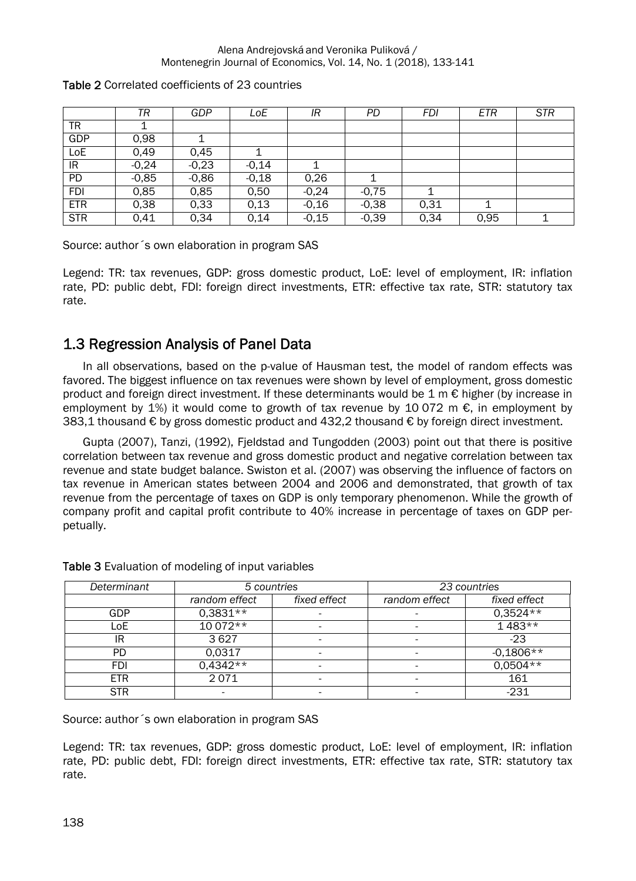#### Alena Andrejovská and Veronika Puliková / Montenegrin Journal of Economics, Vol. 14, No. 1 (2018), 133-141

|            | TR      | GDP     | LoE     | IR      | PD      | FDI  | ETR  | <b>STR</b> |
|------------|---------|---------|---------|---------|---------|------|------|------------|
| TR         |         |         |         |         |         |      |      |            |
| GDP        | 0,98    |         |         |         |         |      |      |            |
| LoE        | 0,49    | 0,45    |         |         |         |      |      |            |
| IR         | $-0,24$ | $-0,23$ | $-0.14$ |         |         |      |      |            |
| PD         | $-0,85$ | $-0,86$ | $-0,18$ | 0,26    |         |      |      |            |
| <b>FDI</b> | 0,85    | 0,85    | 0,50    | $-0,24$ | $-0.75$ |      |      |            |
| <b>ETR</b> | 0,38    | 0,33    | 0,13    | $-0,16$ | $-0,38$ | 0,31 |      |            |
| STR        | 0,41    | 0,34    | 0,14    | $-0,15$ | $-0,39$ | 0,34 | 0,95 |            |

#### Table 2 Correlated coefficients of 23 countries

Source: author´s own elaboration in program SAS

Legend: TR: tax revenues, GDP: gross domestic product, LoE: level of employment, IR: inflation rate, PD: public debt, FDI: foreign direct investments, ETR: effective tax rate, STR: statutory tax rate.

## 1.3 Regression Analysis of Panel Data

In all observations, based on the p-value of Hausman test, the model of random effects was favored. The biggest influence on tax revenues were shown by level of employment, gross domestic product and foreign direct investment. If these determinants would be  $1 \text{ m} \in \text{higher}$  (by increase in employment by 1%) it would come to growth of tax revenue by 10 072 m  $\epsilon$ , in employment by 383,1 thousand € by gross domestic product and 432,2 thousand € by foreign direct investment.

 Gupta (2007), Tanzi, (1992), Fjeldstad and Tungodden (2003) point out that there is positive correlation between tax revenue and gross domestic product and negative correlation between tax revenue and state budget balance. Swiston et al. (2007) was observing the influence of factors on tax revenue in American states between 2004 and 2006 and demonstrated, that growth of tax revenue from the percentage of taxes on GDP is only temporary phenomenon. While the growth of company profit and capital profit contribute to 40% increase in percentage of taxes on GDP perpetually.

| Determinant | 5 countries   |              | 23 countries  |              |  |
|-------------|---------------|--------------|---------------|--------------|--|
|             | random effect | fixed effect | random effect | fixed effect |  |
| GDP         | $0,3831**$    |              |               | $0,3524**$   |  |
| LoE         | $10072**$     |              |               | $1483**$     |  |
| IR          | 3627          |              |               | $-23$        |  |
| PD          | 0,0317        |              |               | $-0,1806**$  |  |
| FDI         | 0,4342**      |              |               | $0,0504**$   |  |
| <b>ETR</b>  | 2071          |              |               | 161          |  |
| <b>STR</b>  |               |              |               | $-231$       |  |

Table 3 Evaluation of modeling of input variables

Source: author´s own elaboration in program SAS

Legend: TR: tax revenues, GDP: gross domestic product, LoE: level of employment, IR: inflation rate, PD: public debt, FDI: foreign direct investments, ETR: effective tax rate, STR: statutory tax rate.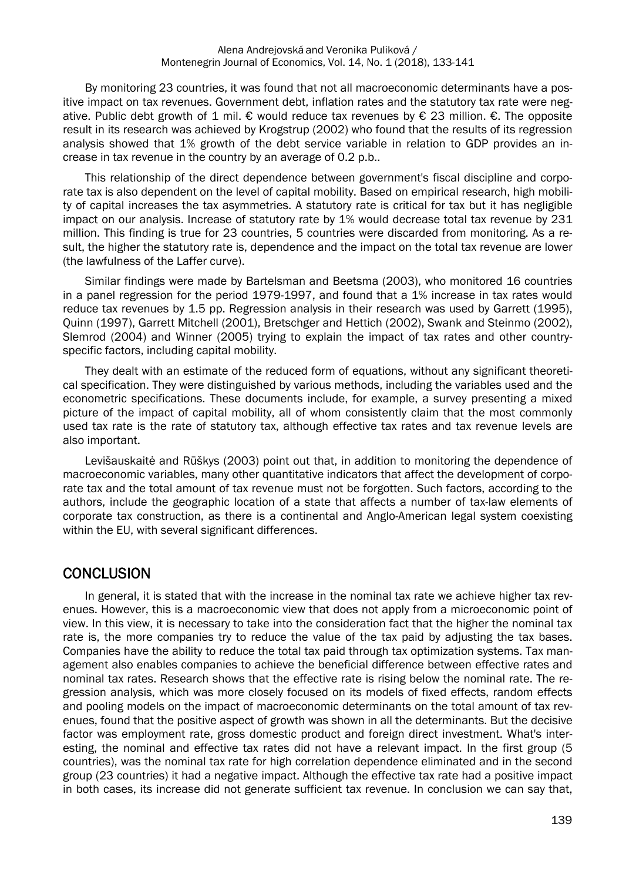By monitoring 23 countries, it was found that not all macroeconomic determinants have a positive impact on tax revenues. Government debt, inflation rates and the statutory tax rate were negative. Public debt growth of 1 mil. € would reduce tax revenues by  $\epsilon$  23 million.  $\epsilon$ . The opposite result in its research was achieved by Krogstrup (2002) who found that the results of its regression analysis showed that 1% growth of the debt service variable in relation to GDP provides an increase in tax revenue in the country by an average of 0.2 p.b..

This relationship of the direct dependence between government's fiscal discipline and corporate tax is also dependent on the level of capital mobility. Based on empirical research, high mobility of capital increases the tax asymmetries. A statutory rate is critical for tax but it has negligible impact on our analysis. Increase of statutory rate by 1% would decrease total tax revenue by 231 million. This finding is true for 23 countries, 5 countries were discarded from monitoring. As a result, the higher the statutory rate is, dependence and the impact on the total tax revenue are lower (the lawfulness of the Laffer curve).

Similar findings were made by Bartelsman and Beetsma (2003), who monitored 16 countries in a panel regression for the period 1979-1997, and found that a 1% increase in tax rates would reduce tax revenues by 1.5 pp. Regression analysis in their research was used by Garrett (1995), Quinn (1997), Garrett Mitchell (2001), Bretschger and Hettich (2002), Swank and Steinmo (2002), Slemrod (2004) and Winner (2005) trying to explain the impact of tax rates and other countryspecific factors, including capital mobility.

They dealt with an estimate of the reduced form of equations, without any significant theoretical specification. They were distinguished by various methods, including the variables used and the econometric specifications. These documents include, for example, a survey presenting a mixed picture of the impact of capital mobility, all of whom consistently claim that the most commonly used tax rate is the rate of statutory tax, although effective tax rates and tax revenue levels are also important.

Levišauskaitė and Rūškys (2003) point out that, in addition to monitoring the dependence of macroeconomic variables, many other quantitative indicators that affect the development of corporate tax and the total amount of tax revenue must not be forgotten. Such factors, according to the authors, include the geographic location of a state that affects a number of tax-law elements of corporate tax construction, as there is a continental and Anglo-American legal system coexisting within the EU, with several significant differences.

## **CONCLUSION**

In general, it is stated that with the increase in the nominal tax rate we achieve higher tax revenues. However, this is a macroeconomic view that does not apply from a microeconomic point of view. In this view, it is necessary to take into the consideration fact that the higher the nominal tax rate is, the more companies try to reduce the value of the tax paid by adjusting the tax bases. Companies have the ability to reduce the total tax paid through tax optimization systems. Tax management also enables companies to achieve the beneficial difference between effective rates and nominal tax rates. Research shows that the effective rate is rising below the nominal rate. The regression analysis, which was more closely focused on its models of fixed effects, random effects and pooling models on the impact of macroeconomic determinants on the total amount of tax revenues, found that the positive aspect of growth was shown in all the determinants. But the decisive factor was employment rate, gross domestic product and foreign direct investment. What's interesting, the nominal and effective tax rates did not have a relevant impact. In the first group (5 countries), was the nominal tax rate for high correlation dependence eliminated and in the second group (23 countries) it had a negative impact. Although the effective tax rate had a positive impact in both cases, its increase did not generate sufficient tax revenue. In conclusion we can say that,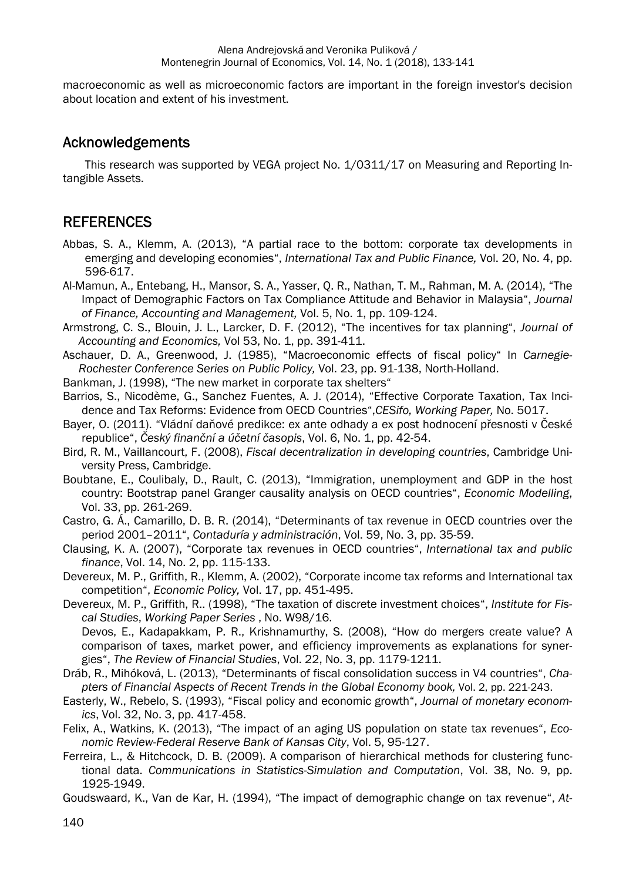macroeconomic as well as microeconomic factors are important in the foreign investor's decision about location and extent of his investment.

## Acknowledgements

This research was supported by VEGA project No. 1/0311/17 on Measuring and Reporting Intangible Assets.

## **REFERENCES**

- Abbas, S. A., Klemm, A. (2013), "A partial race to the bottom: corporate tax developments in emerging and developing economies", *International Tax and Public Finance,* Vol. 20, No. 4, pp. 596-617.
- Al-Mamun, A., Entebang, H., Mansor, S. A., Yasser, Q. R., Nathan, T. M., Rahman, M. A. (2014), "The Impact of Demographic Factors on Tax Compliance Attitude and Behavior in Malaysia", *Journal of Finance, Accounting and Management,* Vol. 5, No. 1, pp. 109-124.
- Armstrong, C. S., Blouin, J. L., Larcker, D. F. (2012), "The incentives for tax planning", *Journal of Accounting and Economics,* Vol 53, No. 1, pp. 391-411.
- Aschauer, D. A., Greenwood, J. (1985), "Macroeconomic effects of fiscal policy" In *Carnegie-Rochester Conference Series on Public Policy,* Vol. 23, pp. 91-138, North-Holland.
- Bankman, J. (1998), "The new market in corporate tax shelters"
- Barrios, S., Nicodème, G., Sanchez Fuentes, A. J. (2014), "Effective Corporate Taxation, Tax Incidence and Tax Reforms: Evidence from OECD Countries",*CESifo, Working Paper,* No. 5017.
- Bayer, O. (2011). "Vládní daňové predikce: ex ante odhady a ex post hodnocení přesnosti v České republice", *Český finanční a účetní časopis*, Vol. 6, No. 1, pp. 42-54.
- Bird, R. M., Vaillancourt, F. (2008), *Fiscal decentralization in developing countries*, Cambridge University Press, Cambridge.
- Boubtane, E., Coulibaly, D., Rault, C. (2013), "Immigration, unemployment and GDP in the host country: Bootstrap panel Granger causality analysis on OECD countries", *Economic Modelling*, Vol. 33, pp. 261-269.
- Castro, G. Á., Camarillo, D. B. R. (2014), "Determinants of tax revenue in OECD countries over the period 2001–2011", *Contaduría y administración*, Vol. 59, No. 3, pp. 35-59.
- Clausing, K. A. (2007), "Corporate tax revenues in OECD countries", *International tax and public finance*, Vol. 14, No. 2, pp. 115-133.
- Devereux, M. P., Griffith, R., Klemm, A. (2002), "Corporate income tax reforms and International tax competition", *Economic Policy,* Vol. 17, pp. 451-495.
- Devereux, M. P., Griffith, R.. (1998), "The taxation of discrete investment choices", *Institute for Fiscal Studies*, *Working Paper Series* , No. W98/16. Devos, E., Kadapakkam, P. R., Krishnamurthy, S. (2008), "How do mergers create value? A comparison of taxes, market power, and efficiency improvements as explanations for syner-
- gies", *The Review of Financial Studies*, Vol. 22, No. 3, pp. 1179-1211.
- Dráb, R., Mihóková, L. (2013), "Determinants of fiscal consolidation success in V4 countries", *Chapters of Financial Aspects of Recent Trends in the Global Economy book,* Vol. 2, pp. 221-243.
- Easterly, W., Rebelo, S. (1993), "Fiscal policy and economic growth", *Journal of monetary economics*, Vol. 32, No. 3, pp. 417-458.
- Felix, A., Watkins, K. (2013), "The impact of an aging US population on state tax revenues", *Economic Review-Federal Reserve Bank of Kansas City*, Vol. 5, 95-127.
- Ferreira, L., & Hitchcock, D. B. (2009). A comparison of hierarchical methods for clustering functional data. *Communications in Statistics-Simulation and Computation*, Vol. 38, No. 9, pp. 1925-1949.
- Goudswaard, K., Van de Kar, H. (1994), "The impact of demographic change on tax revenue", *At-*